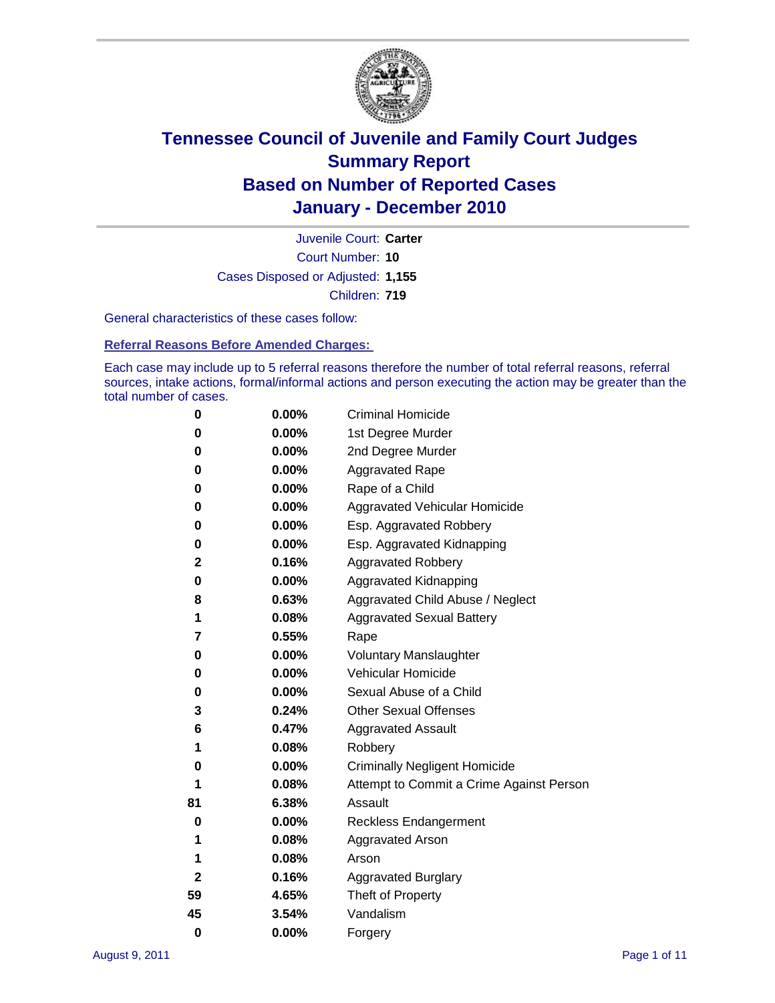

Court Number: **10** Juvenile Court: **Carter** Cases Disposed or Adjusted: **1,155** Children: **719**

General characteristics of these cases follow:

**Referral Reasons Before Amended Charges:** 

Each case may include up to 5 referral reasons therefore the number of total referral reasons, referral sources, intake actions, formal/informal actions and person executing the action may be greater than the total number of cases.

| 0  | 0.00%    | <b>Criminal Homicide</b>                 |
|----|----------|------------------------------------------|
| 0  | 0.00%    | 1st Degree Murder                        |
| 0  | 0.00%    | 2nd Degree Murder                        |
| 0  | 0.00%    | <b>Aggravated Rape</b>                   |
| 0  | 0.00%    | Rape of a Child                          |
| 0  | 0.00%    | Aggravated Vehicular Homicide            |
| 0  | 0.00%    | Esp. Aggravated Robbery                  |
| 0  | 0.00%    | Esp. Aggravated Kidnapping               |
| 2  | 0.16%    | <b>Aggravated Robbery</b>                |
| 0  | 0.00%    | Aggravated Kidnapping                    |
| 8  | 0.63%    | Aggravated Child Abuse / Neglect         |
| 1  | 0.08%    | <b>Aggravated Sexual Battery</b>         |
| 7  | 0.55%    | Rape                                     |
| 0  | $0.00\%$ | <b>Voluntary Manslaughter</b>            |
| 0  | 0.00%    | Vehicular Homicide                       |
| 0  | 0.00%    | Sexual Abuse of a Child                  |
| 3  | 0.24%    | <b>Other Sexual Offenses</b>             |
| 6  | 0.47%    | <b>Aggravated Assault</b>                |
| 1  | 0.08%    | Robbery                                  |
| 0  | 0.00%    | <b>Criminally Negligent Homicide</b>     |
| 1  | 0.08%    | Attempt to Commit a Crime Against Person |
| 81 | 6.38%    | Assault                                  |
| 0  | 0.00%    | <b>Reckless Endangerment</b>             |
| 1  | 0.08%    | <b>Aggravated Arson</b>                  |
| 1  | 0.08%    | Arson                                    |
| 2  | 0.16%    | <b>Aggravated Burglary</b>               |
| 59 | 4.65%    | Theft of Property                        |
| 45 | 3.54%    | Vandalism                                |
| 0  | 0.00%    | Forgery                                  |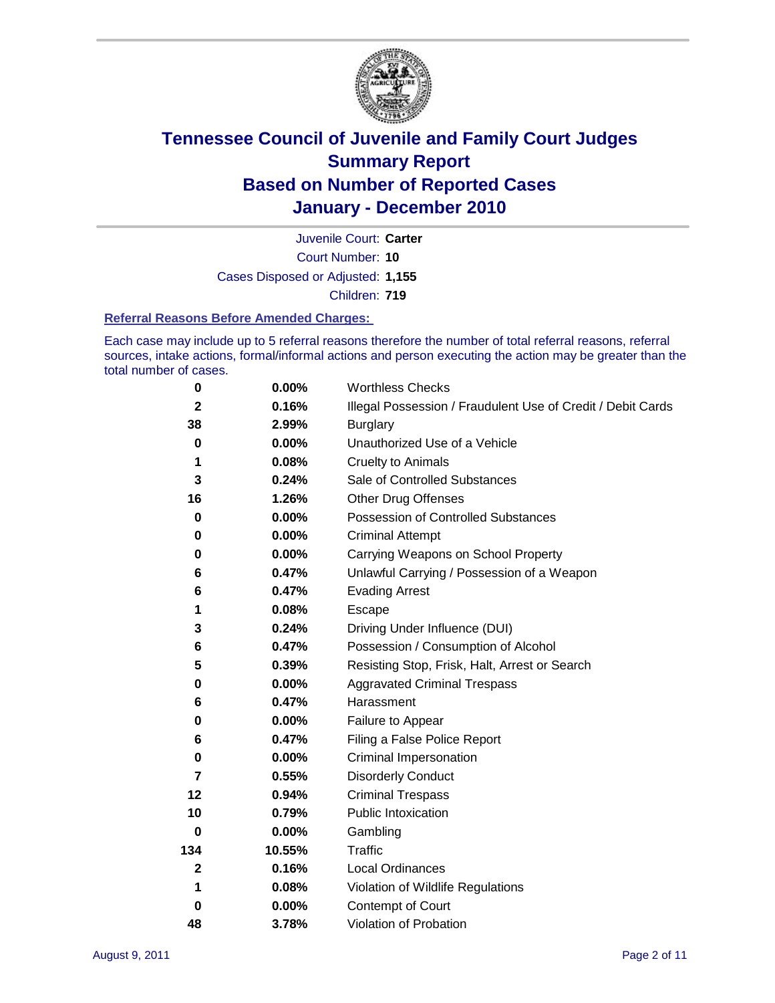

Court Number: **10** Juvenile Court: **Carter** Cases Disposed or Adjusted: **1,155** Children: **719**

#### **Referral Reasons Before Amended Charges:**

Each case may include up to 5 referral reasons therefore the number of total referral reasons, referral sources, intake actions, formal/informal actions and person executing the action may be greater than the total number of cases.

| $\pmb{0}$    | 0.00%    | <b>Worthless Checks</b>                                     |
|--------------|----------|-------------------------------------------------------------|
| $\mathbf{2}$ | 0.16%    | Illegal Possession / Fraudulent Use of Credit / Debit Cards |
| 38           | 2.99%    | <b>Burglary</b>                                             |
| $\bf{0}$     | $0.00\%$ | Unauthorized Use of a Vehicle                               |
| 1            | 0.08%    | <b>Cruelty to Animals</b>                                   |
| 3            | 0.24%    | Sale of Controlled Substances                               |
| 16           | 1.26%    | <b>Other Drug Offenses</b>                                  |
| $\mathbf 0$  | 0.00%    | Possession of Controlled Substances                         |
| 0            | $0.00\%$ | <b>Criminal Attempt</b>                                     |
| 0            | 0.00%    | Carrying Weapons on School Property                         |
| 6            | 0.47%    | Unlawful Carrying / Possession of a Weapon                  |
| 6            | 0.47%    | <b>Evading Arrest</b>                                       |
| 1            | 0.08%    | Escape                                                      |
| 3            | 0.24%    | Driving Under Influence (DUI)                               |
| 6            | 0.47%    | Possession / Consumption of Alcohol                         |
| 5            | 0.39%    | Resisting Stop, Frisk, Halt, Arrest or Search               |
| 0            | $0.00\%$ | <b>Aggravated Criminal Trespass</b>                         |
| 6            | 0.47%    | Harassment                                                  |
| 0            | 0.00%    | Failure to Appear                                           |
| 6            | 0.47%    | Filing a False Police Report                                |
| 0            | 0.00%    | Criminal Impersonation                                      |
| 7            | 0.55%    | <b>Disorderly Conduct</b>                                   |
| 12           | 0.94%    | <b>Criminal Trespass</b>                                    |
| 10           | 0.79%    | <b>Public Intoxication</b>                                  |
| 0            | $0.00\%$ | Gambling                                                    |
| 134          | 10.55%   | Traffic                                                     |
| $\mathbf{2}$ | 0.16%    | Local Ordinances                                            |
| 1            | 0.08%    | Violation of Wildlife Regulations                           |
| 0            | $0.00\%$ | Contempt of Court                                           |
| 48           | 3.78%    | Violation of Probation                                      |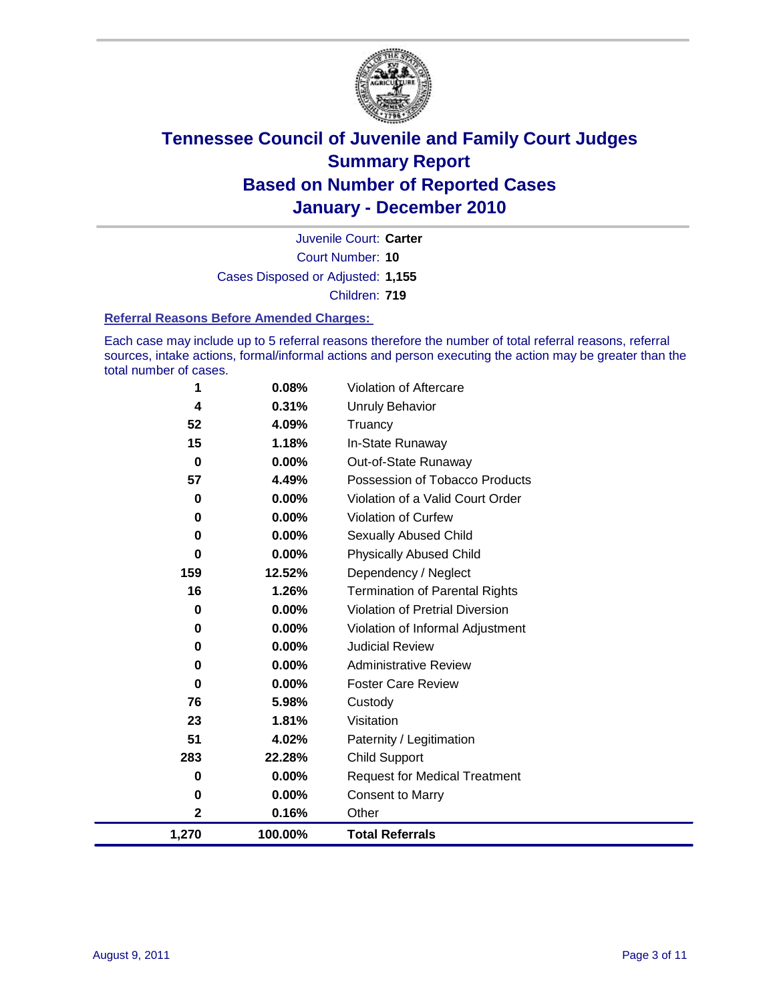

Court Number: **10** Juvenile Court: **Carter** Cases Disposed or Adjusted: **1,155** Children: **719**

#### **Referral Reasons Before Amended Charges:**

Each case may include up to 5 referral reasons therefore the number of total referral reasons, referral sources, intake actions, formal/informal actions and person executing the action may be greater than the total number of cases.

| 1            | 0.08%    | Violation of Aftercare                 |
|--------------|----------|----------------------------------------|
| 4            | 0.31%    | <b>Unruly Behavior</b>                 |
| 52           | 4.09%    | Truancy                                |
| 15           | 1.18%    | In-State Runaway                       |
| $\bf{0}$     | 0.00%    | Out-of-State Runaway                   |
| 57           | 4.49%    | Possession of Tobacco Products         |
| 0            | 0.00%    | Violation of a Valid Court Order       |
| 0            | 0.00%    | Violation of Curfew                    |
| 0            | $0.00\%$ | <b>Sexually Abused Child</b>           |
| $\bf{0}$     | 0.00%    | <b>Physically Abused Child</b>         |
| 159          | 12.52%   | Dependency / Neglect                   |
| 16           | 1.26%    | <b>Termination of Parental Rights</b>  |
| 0            | $0.00\%$ | <b>Violation of Pretrial Diversion</b> |
| 0            | 0.00%    | Violation of Informal Adjustment       |
| 0            | $0.00\%$ | <b>Judicial Review</b>                 |
| 0            | $0.00\%$ | <b>Administrative Review</b>           |
| 0            | $0.00\%$ | <b>Foster Care Review</b>              |
| 76           | 5.98%    | Custody                                |
| 23           | 1.81%    | Visitation                             |
| 51           | 4.02%    | Paternity / Legitimation               |
| 283          | 22.28%   | <b>Child Support</b>                   |
| 0            | $0.00\%$ | <b>Request for Medical Treatment</b>   |
| 0            | 0.00%    | <b>Consent to Marry</b>                |
| $\mathbf{2}$ | 0.16%    | Other                                  |
| 1,270        | 100.00%  | <b>Total Referrals</b>                 |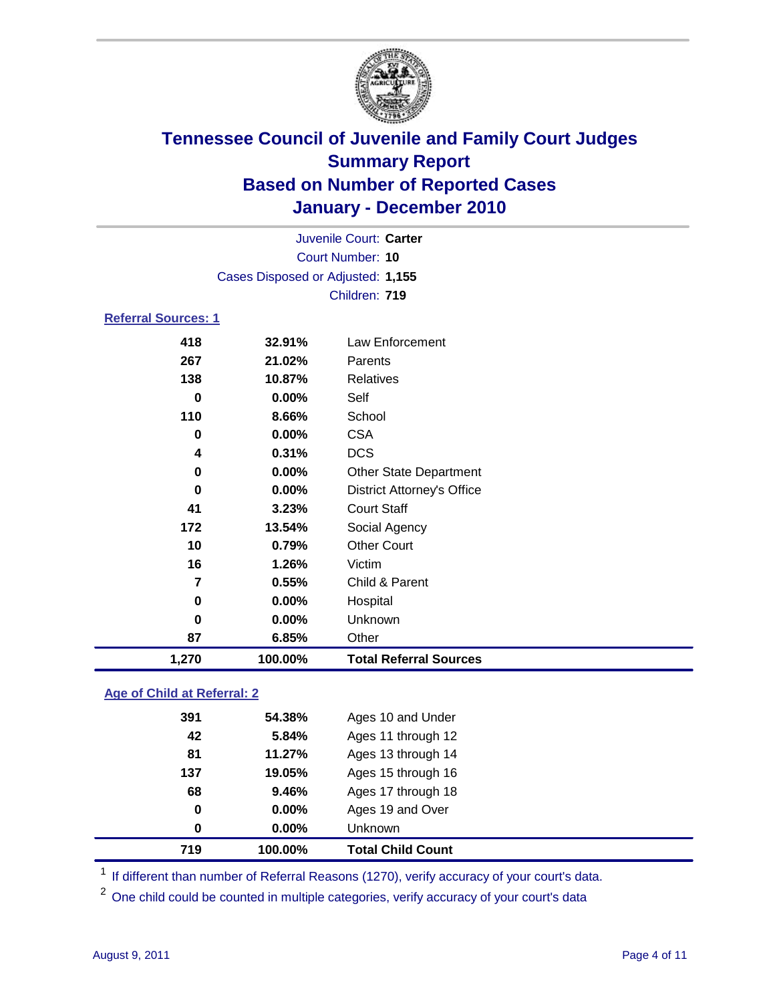

| 1,270                      | 100.00%                           | <b>Total Referral Sources</b>     |
|----------------------------|-----------------------------------|-----------------------------------|
| 87                         | 6.85%                             | Other                             |
| 0                          | 0.00%                             | Unknown                           |
| $\mathbf 0$                | 0.00%                             | Hospital                          |
| 7                          | 0.55%                             | Child & Parent                    |
| 16                         | 1.26%                             | Victim                            |
| 10                         | 0.79%                             | <b>Other Court</b>                |
| 172                        | 13.54%                            | Social Agency                     |
| 41                         | 3.23%                             | <b>Court Staff</b>                |
| 0                          | 0.00%                             | <b>District Attorney's Office</b> |
| $\mathbf 0$                | 0.00%                             | <b>Other State Department</b>     |
| 4                          | 0.31%                             | <b>DCS</b>                        |
| 0                          | 0.00%                             | <b>CSA</b>                        |
| 110                        | 8.66%                             | School                            |
| $\bf{0}$                   | $0.00\%$                          | Self                              |
| 138                        | 10.87%                            | <b>Relatives</b>                  |
| 267                        | 21.02%                            | Parents                           |
| 418                        | 32.91%                            | Law Enforcement                   |
| <b>Referral Sources: 1</b> |                                   |                                   |
|                            |                                   | Children: 719                     |
|                            | Cases Disposed or Adjusted: 1,155 |                                   |
|                            |                                   | <b>Court Number: 10</b>           |
|                            |                                   | Juvenile Court: Carter            |
|                            |                                   |                                   |

### **Age of Child at Referral: 2**

| 100.00% | <b>Total Child Count</b> |
|---------|--------------------------|
| 0.00%   | Unknown                  |
| 0.00%   | Ages 19 and Over         |
| 9.46%   | Ages 17 through 18       |
| 19.05%  | Ages 15 through 16       |
| 11.27%  | Ages 13 through 14       |
| 5.84%   | Ages 11 through 12       |
| 54.38%  | Ages 10 and Under        |
|         |                          |

<sup>1</sup> If different than number of Referral Reasons (1270), verify accuracy of your court's data.

<sup>2</sup> One child could be counted in multiple categories, verify accuracy of your court's data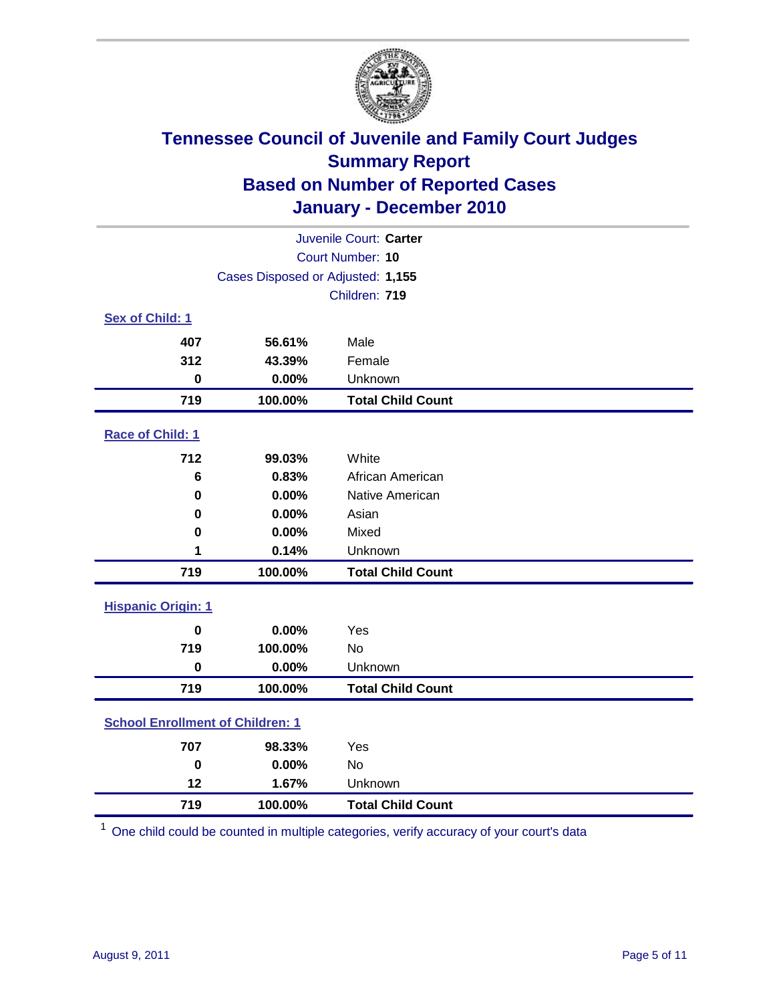

| Juvenile Court: Carter                  |                                   |                          |  |  |
|-----------------------------------------|-----------------------------------|--------------------------|--|--|
| Court Number: 10                        |                                   |                          |  |  |
|                                         | Cases Disposed or Adjusted: 1,155 |                          |  |  |
|                                         |                                   | Children: 719            |  |  |
| Sex of Child: 1                         |                                   |                          |  |  |
| 407                                     | 56.61%                            | Male                     |  |  |
| 312                                     | 43.39%                            | Female                   |  |  |
| $\mathbf 0$                             | 0.00%                             | Unknown                  |  |  |
| 719                                     | 100.00%                           | <b>Total Child Count</b> |  |  |
| Race of Child: 1                        |                                   |                          |  |  |
| 712                                     | 99.03%                            | White                    |  |  |
| 6                                       | 0.83%                             | African American         |  |  |
| 0                                       | 0.00%                             | Native American          |  |  |
| 0                                       | 0.00%                             | Asian                    |  |  |
| $\mathbf 0$                             | 0.00%                             | Mixed                    |  |  |
| 1                                       | 0.14%                             | Unknown                  |  |  |
| 719                                     | 100.00%                           | <b>Total Child Count</b> |  |  |
| <b>Hispanic Origin: 1</b>               |                                   |                          |  |  |
| $\mathbf 0$                             | 0.00%                             | Yes                      |  |  |
| 719                                     | 100.00%                           | No                       |  |  |
| $\mathbf 0$                             | 0.00%                             | Unknown                  |  |  |
| 719                                     | 100.00%                           | <b>Total Child Count</b> |  |  |
| <b>School Enrollment of Children: 1</b> |                                   |                          |  |  |
| 707                                     | 98.33%                            | Yes                      |  |  |
| $\mathbf 0$                             | 0.00%                             | No                       |  |  |
| 12                                      | 1.67%                             | Unknown                  |  |  |
| 719                                     | 100.00%                           | <b>Total Child Count</b> |  |  |

One child could be counted in multiple categories, verify accuracy of your court's data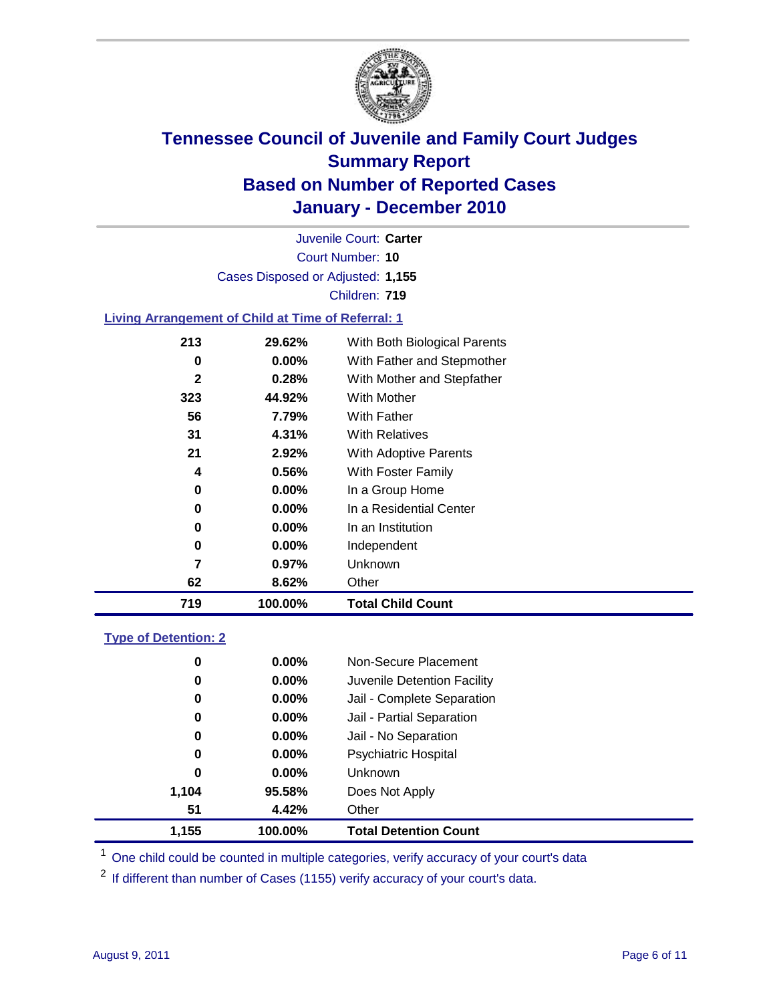

Court Number: **10** Juvenile Court: **Carter** Cases Disposed or Adjusted: **1,155** Children: **719**

### **Living Arrangement of Child at Time of Referral: 1**

| 0<br>0<br>7<br>62 | $0.00\%$<br>$0.00\%$<br>0.97%<br>8.62% | In an Institution<br>Independent<br>Unknown<br>Other |  |
|-------------------|----------------------------------------|------------------------------------------------------|--|
|                   |                                        |                                                      |  |
|                   |                                        |                                                      |  |
|                   |                                        |                                                      |  |
|                   |                                        |                                                      |  |
| 0                 | $0.00\%$                               | In a Residential Center                              |  |
| 0                 | 0.00%                                  | In a Group Home                                      |  |
| 4                 | 0.56%                                  | With Foster Family                                   |  |
| 21                | 2.92%                                  | With Adoptive Parents                                |  |
| 31                | 4.31%                                  | <b>With Relatives</b>                                |  |
| 56                | 7.79%                                  | With Father                                          |  |
| 323               | 44.92%                                 | With Mother                                          |  |
| $\mathbf{2}$      | 0.28%                                  | With Mother and Stepfather                           |  |
| 0                 | $0.00\%$                               | With Father and Stepmother                           |  |
| 213               | 29.62%                                 | With Both Biological Parents                         |  |
|                   |                                        |                                                      |  |

### **Type of Detention: 2**

| 1,155 |          | 100.00%  | <b>Total Detention Count</b> |
|-------|----------|----------|------------------------------|
|       | 51       | 4.42%    | Other                        |
| 1,104 |          | 95.58%   | Does Not Apply               |
|       | 0        | $0.00\%$ | <b>Unknown</b>               |
|       | 0        | 0.00%    | <b>Psychiatric Hospital</b>  |
|       | $\bf{0}$ | 0.00%    | Jail - No Separation         |
|       | 0        | $0.00\%$ | Jail - Partial Separation    |
|       | 0        | $0.00\%$ | Jail - Complete Separation   |
|       | 0        | 0.00%    | Juvenile Detention Facility  |
|       | 0        | $0.00\%$ | Non-Secure Placement         |
|       |          |          |                              |

<sup>1</sup> One child could be counted in multiple categories, verify accuracy of your court's data

<sup>2</sup> If different than number of Cases (1155) verify accuracy of your court's data.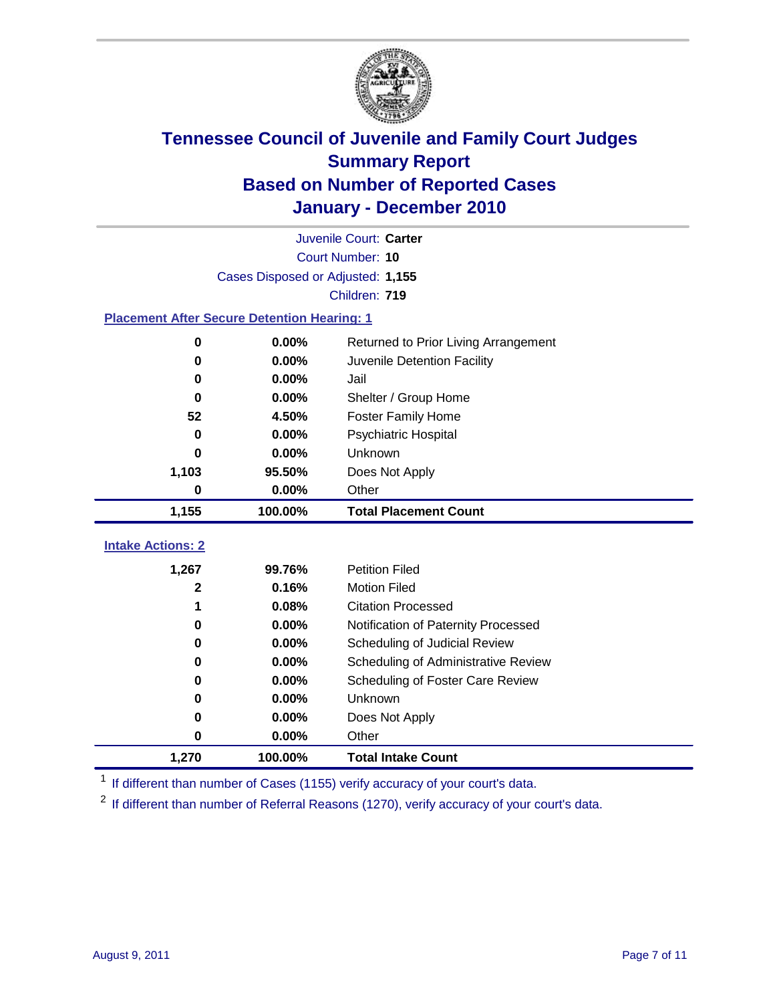

|                                                    |                                   | Juvenile Court: Carter               |  |  |  |  |
|----------------------------------------------------|-----------------------------------|--------------------------------------|--|--|--|--|
|                                                    | Court Number: 10                  |                                      |  |  |  |  |
|                                                    | Cases Disposed or Adjusted: 1,155 |                                      |  |  |  |  |
|                                                    | Children: 719                     |                                      |  |  |  |  |
| <b>Placement After Secure Detention Hearing: 1</b> |                                   |                                      |  |  |  |  |
| $\mathbf 0$                                        | 0.00%                             | Returned to Prior Living Arrangement |  |  |  |  |
| $\bf{0}$                                           | 0.00%                             | Juvenile Detention Facility          |  |  |  |  |
| $\bf{0}$                                           | 0.00%                             | Jail                                 |  |  |  |  |
| 0                                                  | 0.00%                             | Shelter / Group Home                 |  |  |  |  |
| 52                                                 | 4.50%                             | <b>Foster Family Home</b>            |  |  |  |  |
| $\bf{0}$                                           | 0.00%                             | Psychiatric Hospital                 |  |  |  |  |
| 0                                                  | 0.00%                             | Unknown                              |  |  |  |  |
| 1,103                                              | 95.50%                            | Does Not Apply                       |  |  |  |  |
| $\mathbf 0$                                        | 0.00%                             | Other                                |  |  |  |  |
| 1,155                                              | 100.00%                           | <b>Total Placement Count</b>         |  |  |  |  |
|                                                    |                                   |                                      |  |  |  |  |
| <b>Intake Actions: 2</b>                           |                                   |                                      |  |  |  |  |
| 1,267                                              | 99.76%                            | <b>Petition Filed</b>                |  |  |  |  |
| $\mathbf 2$                                        | 0.16%                             | <b>Motion Filed</b>                  |  |  |  |  |
| 1                                                  | 0.08%                             | <b>Citation Processed</b>            |  |  |  |  |
| 0                                                  | 0.00%                             | Notification of Paternity Processed  |  |  |  |  |
| $\bf{0}$                                           | 0.00%                             | Scheduling of Judicial Review        |  |  |  |  |
| 0                                                  | 0.00%                             | Scheduling of Administrative Review  |  |  |  |  |
| 0                                                  | 0.00%                             | Scheduling of Foster Care Review     |  |  |  |  |
| $\bf{0}$                                           | 0.00%                             | Unknown                              |  |  |  |  |
| 0                                                  | 0.00%                             | Does Not Apply                       |  |  |  |  |
| $\bf{0}$                                           | 0.00%                             | Other                                |  |  |  |  |
| 1,270                                              | 100.00%                           | <b>Total Intake Count</b>            |  |  |  |  |

<sup>1</sup> If different than number of Cases (1155) verify accuracy of your court's data.

<sup>2</sup> If different than number of Referral Reasons (1270), verify accuracy of your court's data.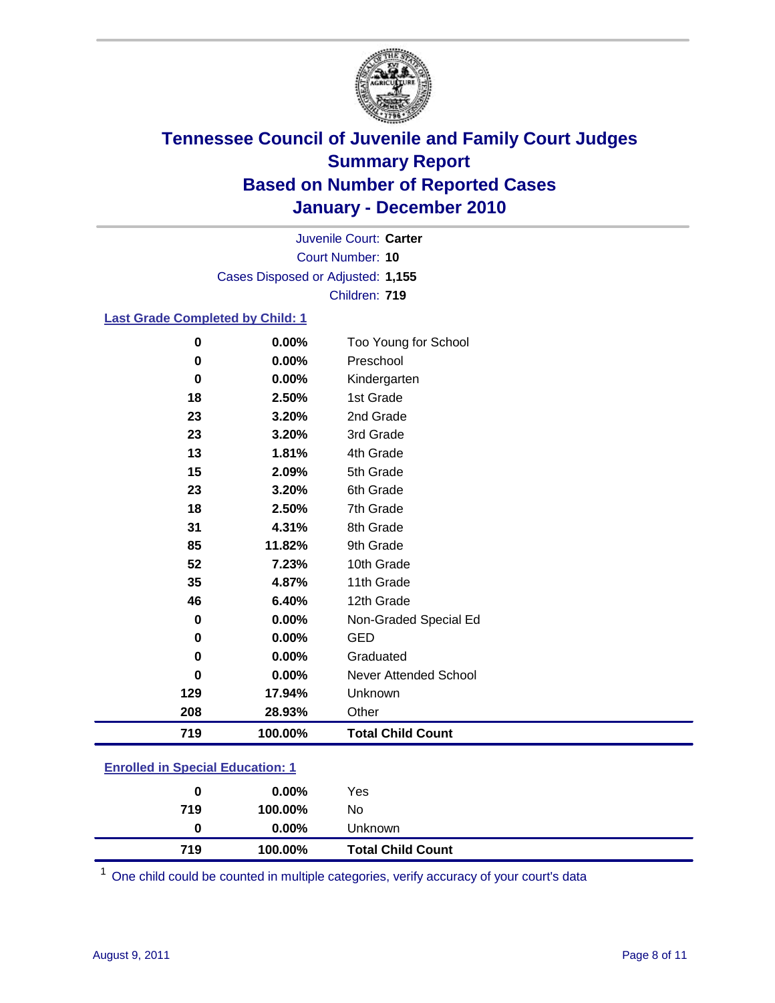

Court Number: **10** Juvenile Court: **Carter** Cases Disposed or Adjusted: **1,155** Children: **719**

### **Last Grade Completed by Child: 1**

| 719      | 100.00% | <b>Total Child Count</b> |
|----------|---------|--------------------------|
| 208      | 28.93%  | Other                    |
| 129      | 17.94%  | Unknown                  |
| 0        | 0.00%   | Never Attended School    |
| 0        | 0.00%   | Graduated                |
| 0        | 0.00%   | <b>GED</b>               |
| 0        | 0.00%   | Non-Graded Special Ed    |
| 46       | 6.40%   | 12th Grade               |
| 35       | 4.87%   | 11th Grade               |
| 52       | 7.23%   | 10th Grade               |
| 85       | 11.82%  | 9th Grade                |
| 31       | 4.31%   | 8th Grade                |
| 18       | 2.50%   | 7th Grade                |
| 23       | 3.20%   | 6th Grade                |
| 15       | 2.09%   | 5th Grade                |
| 13       | 1.81%   | 4th Grade                |
| 23       | 3.20%   | 3rd Grade                |
| 23       | 3.20%   | 2nd Grade                |
| 18       | 2.50%   | 1st Grade                |
| 0        | 0.00%   | Kindergarten             |
| 0        | 0.00%   | Preschool                |
| $\bf{0}$ | 0.00%   | Too Young for School     |

### **Enrolled in Special Education: 1**

| 0   | $0.00\%$ | Yes                      |
|-----|----------|--------------------------|
| 719 | 100.00%  | No                       |
| 0   | $0.00\%$ | Unknown                  |
| 719 | 100.00%  | <b>Total Child Count</b> |

One child could be counted in multiple categories, verify accuracy of your court's data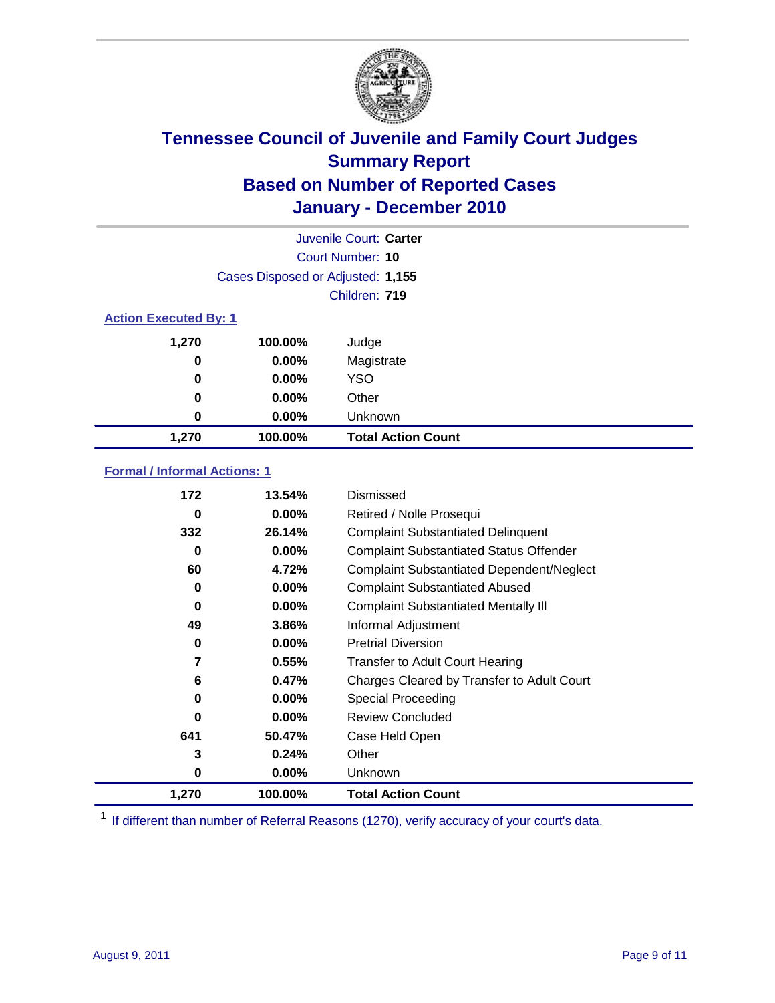

|                              | Juvenile Court: Carter            |                           |  |  |  |
|------------------------------|-----------------------------------|---------------------------|--|--|--|
|                              | Court Number: 10                  |                           |  |  |  |
|                              | Cases Disposed or Adjusted: 1,155 |                           |  |  |  |
|                              | Children: 719                     |                           |  |  |  |
| <b>Action Executed By: 1</b> |                                   |                           |  |  |  |
| 1,270                        | 100.00%                           | Judge                     |  |  |  |
| 0                            | $0.00\%$                          | Magistrate                |  |  |  |
| 0                            | $0.00\%$                          | <b>YSO</b>                |  |  |  |
| 0                            | $0.00\%$                          | Other                     |  |  |  |
| 0                            | 0.00%                             | Unknown                   |  |  |  |
| 1,270                        | 100.00%                           | <b>Total Action Count</b> |  |  |  |

### **Formal / Informal Actions: 1**

| 172   | 13.54%   | Dismissed                                        |
|-------|----------|--------------------------------------------------|
| 0     | $0.00\%$ | Retired / Nolle Prosequi                         |
| 332   | 26.14%   | <b>Complaint Substantiated Delinquent</b>        |
| 0     | $0.00\%$ | <b>Complaint Substantiated Status Offender</b>   |
| 60    | 4.72%    | <b>Complaint Substantiated Dependent/Neglect</b> |
| 0     | $0.00\%$ | <b>Complaint Substantiated Abused</b>            |
| 0     | $0.00\%$ | <b>Complaint Substantiated Mentally III</b>      |
| 49    | 3.86%    | Informal Adjustment                              |
| 0     | $0.00\%$ | <b>Pretrial Diversion</b>                        |
| 7     | 0.55%    | <b>Transfer to Adult Court Hearing</b>           |
| 6     | 0.47%    | Charges Cleared by Transfer to Adult Court       |
| 0     | $0.00\%$ | Special Proceeding                               |
| 0     | $0.00\%$ | <b>Review Concluded</b>                          |
| 641   | 50.47%   | Case Held Open                                   |
| 3     | 0.24%    | Other                                            |
| 0     | $0.00\%$ | Unknown                                          |
| 1,270 | 100.00%  | <b>Total Action Count</b>                        |

<sup>1</sup> If different than number of Referral Reasons (1270), verify accuracy of your court's data.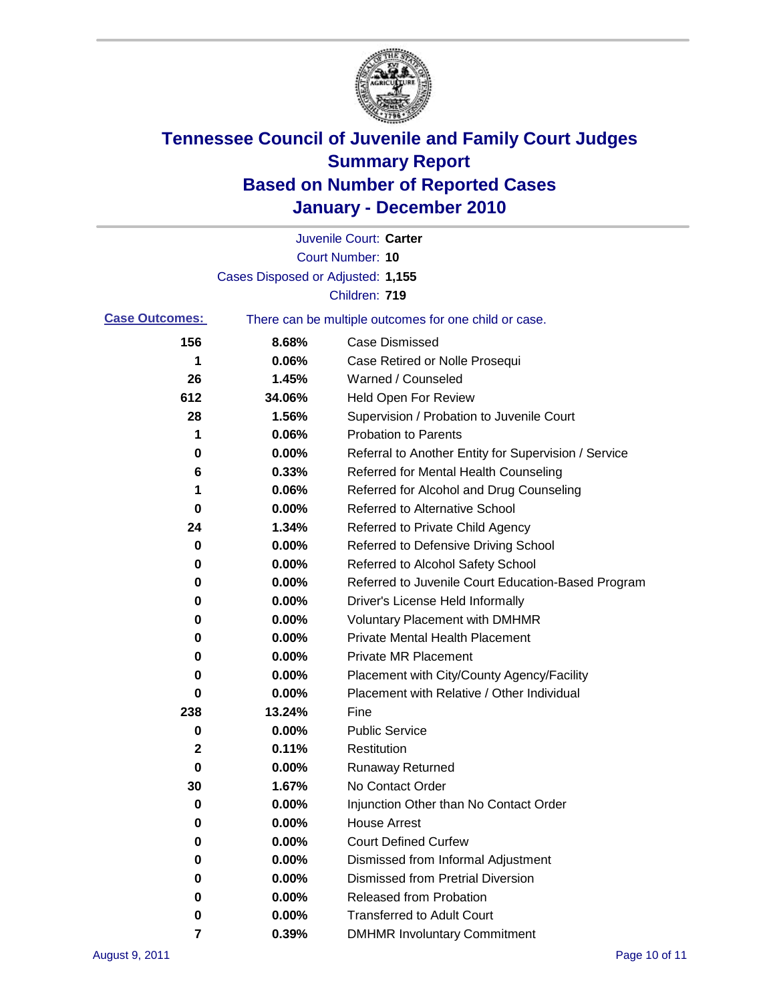

|                       |                                   | Juvenile Court: Carter                                |
|-----------------------|-----------------------------------|-------------------------------------------------------|
|                       |                                   | Court Number: 10                                      |
|                       | Cases Disposed or Adjusted: 1,155 |                                                       |
|                       |                                   | Children: 719                                         |
| <b>Case Outcomes:</b> |                                   | There can be multiple outcomes for one child or case. |
| 156                   | 8.68%                             | <b>Case Dismissed</b>                                 |
| 1                     | 0.06%                             | Case Retired or Nolle Prosequi                        |
| 26                    | 1.45%                             | Warned / Counseled                                    |
| 612                   | 34.06%                            | <b>Held Open For Review</b>                           |
| 28                    | 1.56%                             | Supervision / Probation to Juvenile Court             |
| 1                     | 0.06%                             | <b>Probation to Parents</b>                           |
| 0                     | 0.00%                             | Referral to Another Entity for Supervision / Service  |
| 6                     | 0.33%                             | Referred for Mental Health Counseling                 |
| 1                     | 0.06%                             | Referred for Alcohol and Drug Counseling              |
| 0                     | 0.00%                             | <b>Referred to Alternative School</b>                 |
| 24                    | 1.34%                             | Referred to Private Child Agency                      |
| 0                     | 0.00%                             | Referred to Defensive Driving School                  |
| 0                     | 0.00%                             | Referred to Alcohol Safety School                     |
| 0                     | 0.00%                             | Referred to Juvenile Court Education-Based Program    |
| 0                     | 0.00%                             | Driver's License Held Informally                      |
| 0                     | 0.00%                             | <b>Voluntary Placement with DMHMR</b>                 |
| 0                     | 0.00%                             | <b>Private Mental Health Placement</b>                |
| 0                     | 0.00%                             | <b>Private MR Placement</b>                           |
| 0                     | 0.00%                             | Placement with City/County Agency/Facility            |
| 0                     | 0.00%                             | Placement with Relative / Other Individual            |
| 238                   | 13.24%                            | Fine                                                  |
| 0                     | 0.00%                             | <b>Public Service</b>                                 |
| 2                     | 0.11%                             | Restitution                                           |
| 0                     | 0.00%                             | <b>Runaway Returned</b>                               |
| 30                    | 1.67%                             | No Contact Order                                      |
| 0                     | 0.00%                             | Injunction Other than No Contact Order                |
| 0                     | 0.00%                             | <b>House Arrest</b>                                   |
| 0                     | 0.00%                             | <b>Court Defined Curfew</b>                           |
| 0                     | 0.00%                             | Dismissed from Informal Adjustment                    |
| 0                     | 0.00%                             | <b>Dismissed from Pretrial Diversion</b>              |
| 0                     | 0.00%                             | Released from Probation                               |
| 0                     | 0.00%                             | <b>Transferred to Adult Court</b>                     |
| 7                     | 0.39%                             | <b>DMHMR Involuntary Commitment</b>                   |